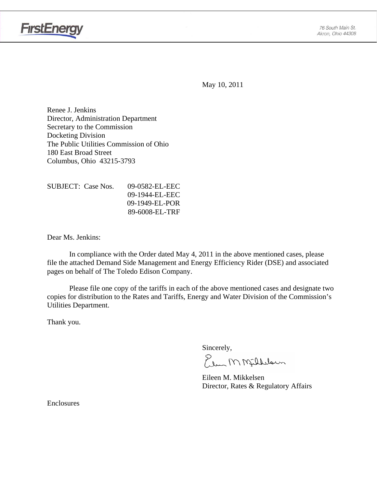



May 10, 2011

Renee J. Jenkins Director, Administration Department Secretary to the Commission Docketing Division The Public Utilities Commission of Ohio 180 East Broad Street Columbus, Ohio 43215-3793

| SUBJECT: Case Nos. | 09-0582-EL-EEC    |
|--------------------|-------------------|
|                    | $09-1944-FL$ -EEC |
|                    | $09-1949$ -EL-POR |
|                    | 89-6008-EL-TRF    |

Dear Ms. Jenkins:

 In compliance with the Order dated May 4, 2011 in the above mentioned cases, please file the attached Demand Side Management and Energy Efficiency Rider (DSE) and associated pages on behalf of The Toledo Edison Company.

Please file one copy of the tariffs in each of the above mentioned cases and designate two copies for distribution to the Rates and Tariffs, Energy and Water Division of the Commission's Utilities Department.

Thank you.

Sincerely,

Plus MMfillelown

 Eileen M. Mikkelsen Director, Rates & Regulatory Affairs

Enclosures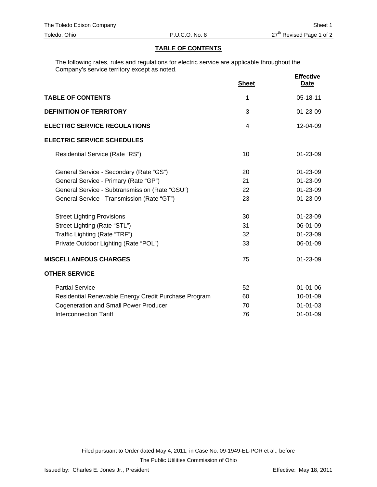#### **TABLE OF CONTENTS**

The following rates, rules and regulations for electric service are applicable throughout the Company's service territory except as noted.

|                                                      | <b>Sheet</b> | <b>Effective</b><br><b>Date</b> |
|------------------------------------------------------|--------------|---------------------------------|
| <b>TABLE OF CONTENTS</b>                             | 1            | 05-18-11                        |
| <b>DEFINITION OF TERRITORY</b>                       | 3            | $01 - 23 - 09$                  |
| <b>ELECTRIC SERVICE REGULATIONS</b>                  | 4            | 12-04-09                        |
| <b>ELECTRIC SERVICE SCHEDULES</b>                    |              |                                 |
| Residential Service (Rate "RS")                      | 10           | 01-23-09                        |
| General Service - Secondary (Rate "GS")              | 20           | 01-23-09                        |
| General Service - Primary (Rate "GP")                | 21           | 01-23-09                        |
| General Service - Subtransmission (Rate "GSU")       | 22           | 01-23-09                        |
| General Service - Transmission (Rate "GT")           | 23           | 01-23-09                        |
| <b>Street Lighting Provisions</b>                    | 30           | 01-23-09                        |
| Street Lighting (Rate "STL")                         | 31           | 06-01-09                        |
| Traffic Lighting (Rate "TRF")                        | 32           | 01-23-09                        |
| Private Outdoor Lighting (Rate "POL")                | 33           | 06-01-09                        |
| <b>MISCELLANEOUS CHARGES</b>                         | 75           | 01-23-09                        |
| <b>OTHER SERVICE</b>                                 |              |                                 |
| <b>Partial Service</b>                               | 52           | $01 - 01 - 06$                  |
| Residential Renewable Energy Credit Purchase Program | 60           | 10-01-09                        |
| <b>Cogeneration and Small Power Producer</b>         | 70           | $01 - 01 - 03$                  |
| <b>Interconnection Tariff</b>                        | 76           | $01 - 01 - 09$                  |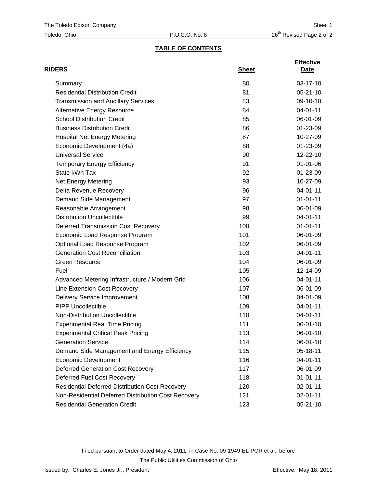## **TABLE OF CONTENTS**

| <b>RIDERS</b>                                          | <b>Sheet</b> | <b>Effective</b><br>Date |
|--------------------------------------------------------|--------------|--------------------------|
| Summary                                                | 80           | 03-17-10                 |
| <b>Residential Distribution Credit</b>                 | 81           | $05 - 21 - 10$           |
| <b>Transmission and Ancillary Services</b>             | 83           | 09-10-10                 |
| <b>Alternative Energy Resource</b>                     | 84           | 04-01-11                 |
| <b>School Distribution Credit</b>                      | 85           | 06-01-09                 |
| <b>Business Distribution Credit</b>                    | 86           | $01 - 23 - 09$           |
| <b>Hospital Net Energy Metering</b>                    | 87           | 10-27-09                 |
| Economic Development (4a)                              | 88           | 01-23-09                 |
| <b>Universal Service</b>                               | 90           | 12-22-10                 |
| <b>Temporary Energy Efficiency</b>                     | 91           | $01 - 01 - 06$           |
| State kWh Tax                                          | 92           | 01-23-09                 |
| Net Energy Metering                                    | 93           | 10-27-09                 |
| Delta Revenue Recovery                                 | 96           | $04 - 01 - 11$           |
| Demand Side Management                                 | 97           | $01 - 01 - 11$           |
| Reasonable Arrangement                                 | 98           | 06-01-09                 |
| <b>Distribution Uncollectible</b>                      | 99           | $04 - 01 - 11$           |
| <b>Deferred Transmission Cost Recovery</b>             | 100          | $01 - 01 - 11$           |
| Economic Load Response Program                         | 101          | 06-01-09                 |
| Optional Load Response Program                         | 102          | 06-01-09                 |
| <b>Generation Cost Reconciliation</b>                  | 103          | $04 - 01 - 11$           |
| <b>Green Resource</b>                                  | 104          | 06-01-09                 |
| Fuel                                                   | 105          | 12-14-09                 |
| Advanced Metering Infrastructure / Modern Grid         | 106          | 04-01-11                 |
| Line Extension Cost Recovery                           | 107          | 06-01-09                 |
| <b>Delivery Service Improvement</b>                    | 108          | 04-01-09                 |
| <b>PIPP Uncollectible</b>                              | 109          | $04 - 01 - 11$           |
| Non-Distribution Uncollectible                         | 110          | 04-01-11                 |
| <b>Experimental Real Time Pricing</b>                  | 111          | 06-01-10                 |
| <b>Experimental Critical Peak Pricing</b>              | 113          | 06-01-10                 |
| <b>Generation Service</b>                              | 114          | 06-01-10                 |
| Demand Side Management and Energy Efficiency           | 115          | 05-18-11                 |
| <b>Economic Development</b>                            | 116          | 04-01-11                 |
| <b>Deferred Generation Cost Recovery</b>               | 117          | 06-01-09                 |
| Deferred Fuel Cost Recovery                            | 118          | $01 - 01 - 11$           |
| <b>Residential Deferred Distribution Cost Recovery</b> | 120          | 02-01-11                 |
| Non-Residential Deferred Distribution Cost Recovery    | 121          | 02-01-11                 |
| <b>Residential Generation Credit</b>                   | 123          | 05-21-10                 |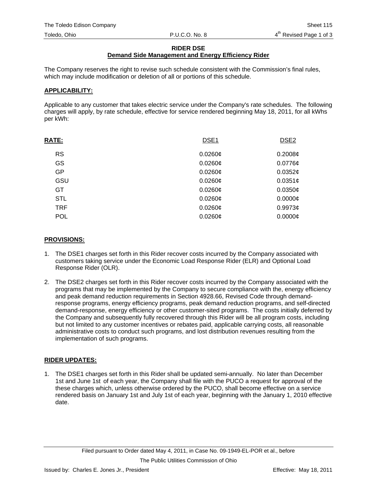#### **RIDER DSE**

### **Demand Side Management and Energy Efficiency Rider**

The Company reserves the right to revise such schedule consistent with the Commission's final rules, which may include modification or deletion of all or portions of this schedule.

#### **APPLICABILITY:**

Applicable to any customer that takes electric service under the Company's rate schedules. The following charges will apply, by rate schedule, effective for service rendered beginning May 18, 2011, for all kWhs per kWh:

| DSE <sub>1</sub><br><b>RATE:</b> | DSE <sub>2</sub> |
|----------------------------------|------------------|
| <b>RS</b><br>$0.0260$ ¢          | 0.2008¢          |
| <b>GS</b><br>$0.0260$ ¢          | $0.0776$ ¢       |
| <b>GP</b><br>$0.0260$ ¢          | 0.0352¢          |
| GSU<br>$0.0260$ ¢                | 0.0351¢          |
| GT<br>$0.0260$ ¢                 | 0.0350¢          |
| <b>STL</b><br>$0.0260$ ¢         | $0.0000$ ¢       |
| <b>TRF</b><br>$0.0260$ ¢         | 0.9973c          |
| <b>POL</b><br>$0.0260$ ¢         | $0.0000$ ¢       |

#### **PROVISIONS:**

- 1. The DSE1 charges set forth in this Rider recover costs incurred by the Company associated with customers taking service under the Economic Load Response Rider (ELR) and Optional Load Response Rider (OLR).
- 2. The DSE2 charges set forth in this Rider recover costs incurred by the Company associated with the programs that may be implemented by the Company to secure compliance with the, energy efficiency and peak demand reduction requirements in Section 4928.66, Revised Code through demandresponse programs, energy efficiency programs, peak demand reduction programs, and self-directed demand-response, energy efficiency or other customer-sited programs. The costs initially deferred by the Company and subsequently fully recovered through this Rider will be all program costs, including but not limited to any customer incentives or rebates paid, applicable carrying costs, all reasonable administrative costs to conduct such programs, and lost distribution revenues resulting from the implementation of such programs.

### **RIDER UPDATES:**

1. The DSE1 charges set forth in this Rider shall be updated semi-annually. No later than December 1st and June 1st of each year, the Company shall file with the PUCO a request for approval of the these charges which, unless otherwise ordered by the PUCO, shall become effective on a service rendered basis on January 1st and July 1st of each year, beginning with the January 1, 2010 effective date.